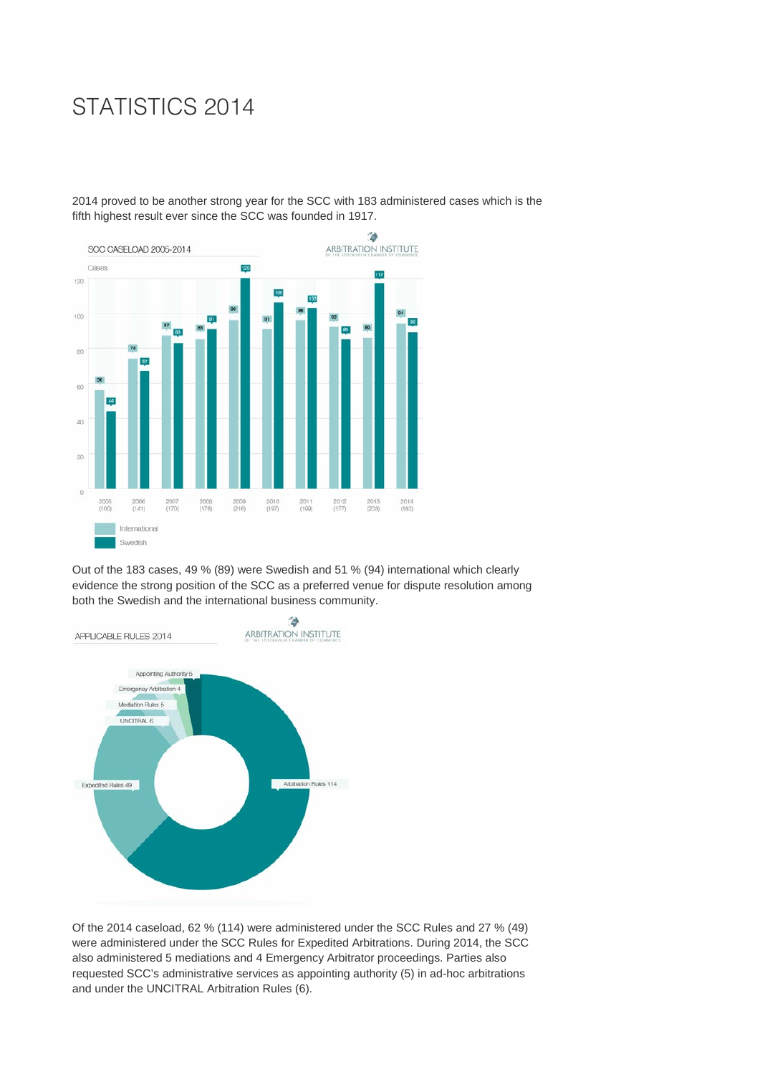## STATISTICS 2014

2014 proved to be another strong year for the SCC with 183 administered cases which is the fifth highest result ever since the SCC was founded in 1917.



Out of the 183 cases, 49 % (89) were Swedish and 51 % (94) international which clearly evidence the strong position of the SCC as a preferred venue for dispute resolution among both the Swedish and the international business community.



Of the 2014 caseload, 62 % (114) were administered under the SCC Rules and 27 % (49) were administered under the SCC Rules for Expedited Arbitrations. During 2014, the SCC also administered 5 mediations and 4 Emergency Arbitrator proceedings. Parties also requested SCC's administrative services as appointing authority (5) in ad-hoc arbitrations and under the UNCITRAL Arbitration Rules (6).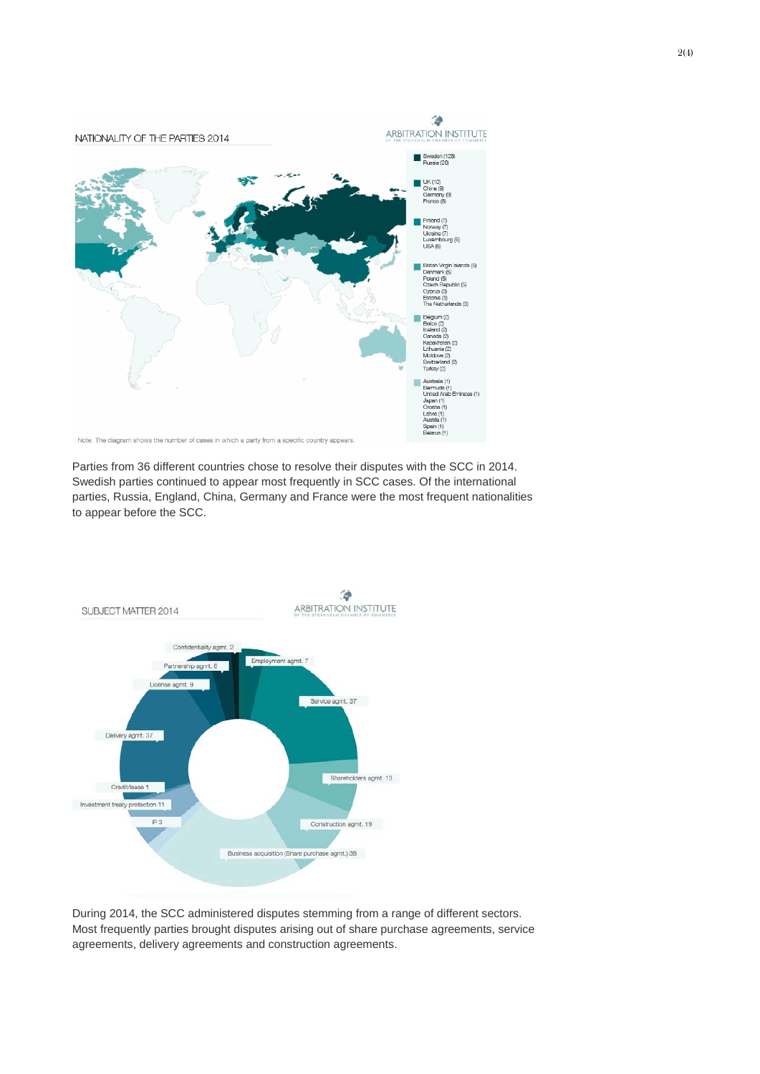

Parties from 36 different countries chose to resolve their disputes with the SCC in 2014. Swedish parties continued to appear most frequently in SCC cases. Of the international parties, Russia, England, China, Germany and France were the most frequent nationalities to appear before the SCC.



During 2014, the SCC administered disputes stemming from a range of different sectors. Most frequently parties brought disputes arising out of share purchase agreements, service agreements, delivery agreements and construction agreements.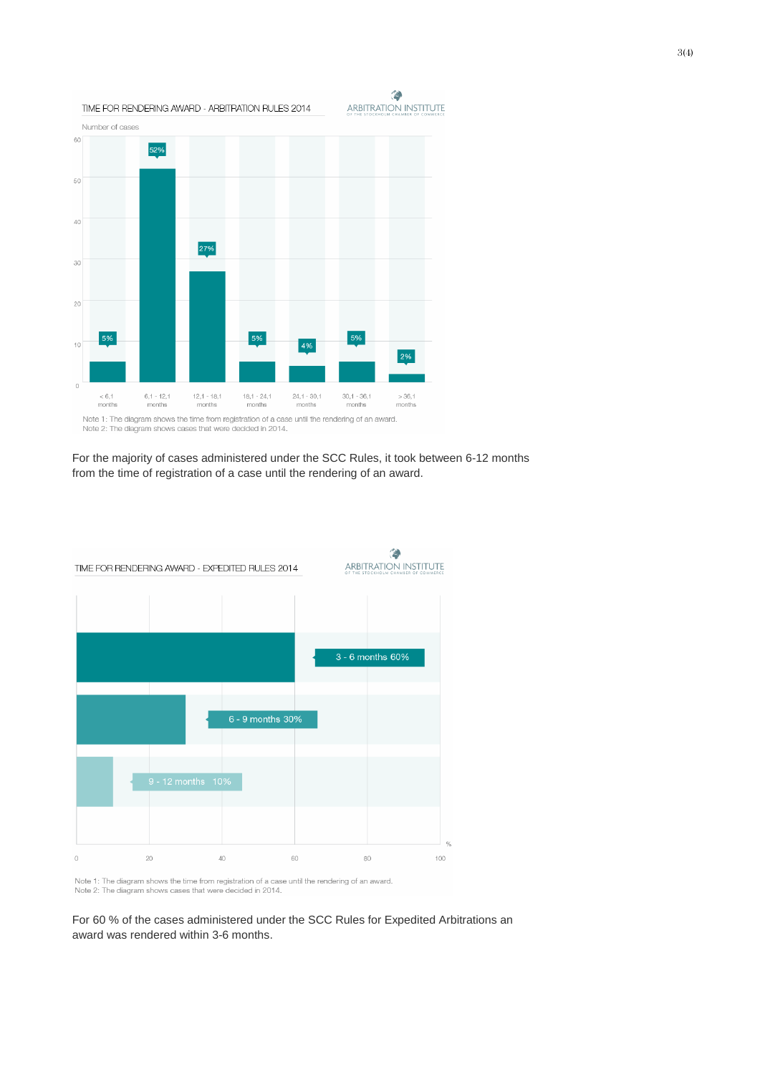

For the majority of cases administered under the SCC Rules, it took between 6-12 months from the time of registration of a case until the rendering of an award.



Note 1: The diagram shows the time from registration of a case until the rendering of an award. Note 2: The diagram shows cases that were decided in 2014.

For 60 % of the cases administered under the SCC Rules for Expedited Arbitrations an award was rendered within 3-6 months.